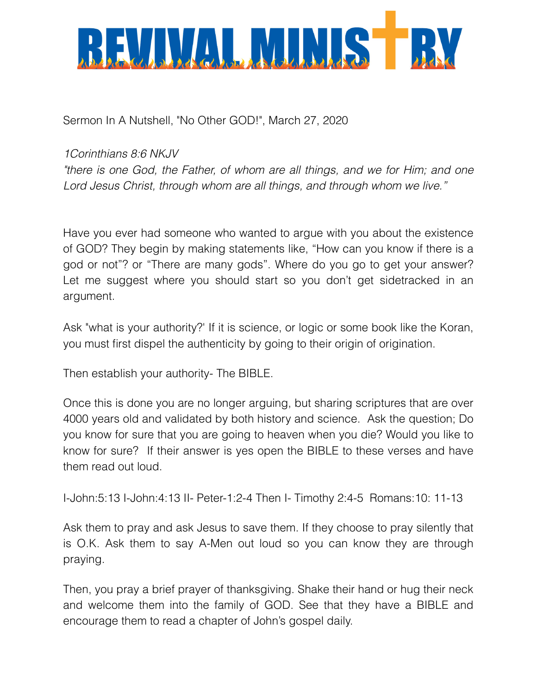

Sermon In A Nutshell, "No Other GOD!", March 27, 2020

## *1Corinthians 8:6 NKJV*

*"there is one God, the Father, of whom are all things, and we for Him; and one Lord Jesus Christ, through whom are all things, and through whom we live."*

Have you ever had someone who wanted to argue with you about the existence of GOD? They begin by making statements like, "How can you know if there is a god or not"? or "There are many gods". Where do you go to get your answer? Let me suggest where you should start so you don't get sidetracked in an argument.

Ask "what is your authority?' If it is science, or logic or some book like the Koran, you must first dispel the authenticity by going to their origin of origination.

Then establish your authority- The BIBLE.

Once this is done you are no longer arguing, but sharing scriptures that are over 4000 years old and validated by both history and science. Ask the question; Do you know for sure that you are going to heaven when you die? Would you like to know for sure? If their answer is yes open the BIBLE to these verses and have them read out loud.

I-John:5:13 I-John:4:13 II- Peter-1:2-4 Then I- Timothy 2:4-5 Romans:10: 11-13

Ask them to pray and ask Jesus to save them. If they choose to pray silently that is O.K. Ask them to say A-Men out loud so you can know they are through praying.

Then, you pray a brief prayer of thanksgiving. Shake their hand or hug their neck and welcome them into the family of GOD. See that they have a BIBLE and encourage them to read a chapter of John's gospel daily.